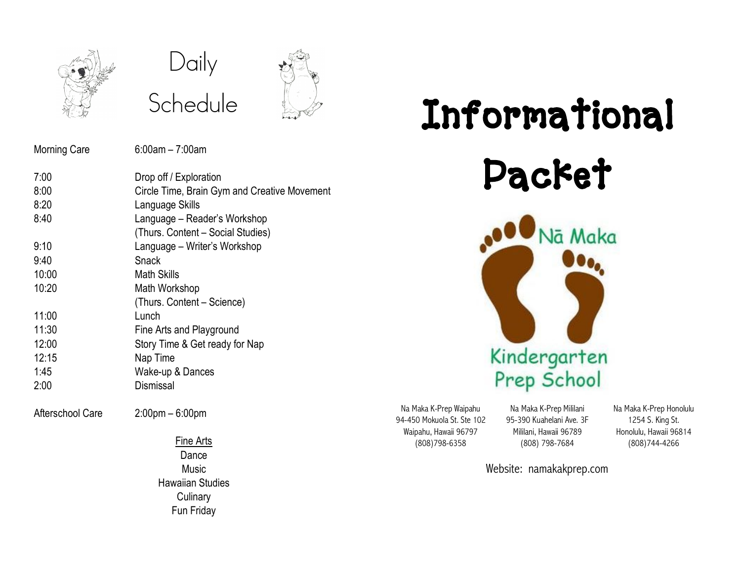

## Daily Schedule



### Morning Care 6:00am – 7:00am

| 7:00  | Drop off / Exploration                       |
|-------|----------------------------------------------|
| 8:00  | Circle Time, Brain Gym and Creative Movement |
| 8:20  | Language Skills                              |
| 8:40  | Language – Reader's Workshop                 |
|       | (Thurs. Content - Social Studies)            |
| 9:10  | Language – Writer's Workshop                 |
| 9:40  | Snack                                        |
| 10:00 | Math Skills                                  |
| 10:20 | Math Workshop                                |
|       | (Thurs. Content – Science)                   |
| 11:00 | Lunch                                        |
| 11:30 | Fine Arts and Playground                     |
| 12:00 | Story Time & Get ready for Nap               |
| 12:15 | Nap Time                                     |
| 1:45  | Wake-up & Dances                             |
| 2:00  | Dismissal                                    |
|       |                                              |
|       |                                              |

Afterschool Care 2:00pm – 6:00pm

Fine Arts Dance Music Hawaiian Studies **Culinary** Fun Friday

# Informational Packet Nā Maka



Na Maka K-Prep Waipahu 94-450 Mokuola St. Ste 102 Waipahu, Hawaii 96797 (808)798-6358

Na Maka K-Prep Mililani 95-390 Kuahelani Ave. 3F Mililani, Hawaii 96789 (808) 798-7684

Na Maka K-Prep Honolulu 1254 S. King St. Honolulu, Hawaii 96814 (808)744-4266

Website: namakakprep.com